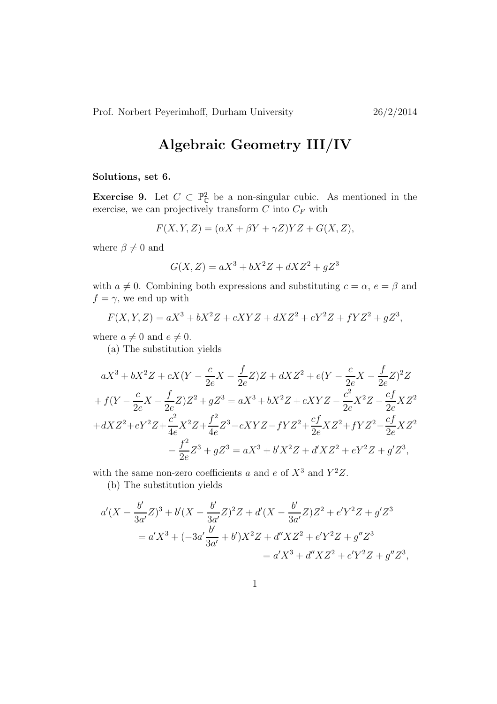Prof. Norbert Peyerimhoff, Durham University 26/2/2014

## Algebraic Geometry III/IV

## Solutions, set 6.

**Exercise 9.** Let  $C \subset \mathbb{P}_{\mathbb{C}}^2$  be a non-singular cubic. As mentioned in the exercise, we can projectively transform  $C$  into  $C_F$  with

$$
F(X, Y, Z) = (\alpha X + \beta Y + \gamma Z)YZ + G(X, Z),
$$

where  $\beta \neq 0$  and

$$
G(X, Z) = aX^3 + bX^2Z + dXZ^2 + gZ^3
$$

with  $a \neq 0$ . Combining both expressions and substituting  $c = \alpha$ ,  $e = \beta$  and  $f = \gamma$ , we end up with

$$
F(X, Y, Z) = aX^3 + bX^2Z + cXYZ + dXZ^2 + eY^2Z + fYZ^2 + gZ^3,
$$

where  $a \neq 0$  and  $e \neq 0$ .

(a) The substitution yields

$$
aX^3 + bX^2Z + cX(Y - \frac{c}{2e}X - \frac{f}{2e}Z)Z + dXZ^2 + e(Y - \frac{c}{2e}X - \frac{f}{2e}Z)^2Z
$$
  
+  $f(Y - \frac{c}{2e}X - \frac{f}{2e}Z)Z^2 + gZ^3 = aX^3 + bX^2Z + cXYZ - \frac{c^2}{2e}X^2Z - \frac{cf}{2e}XZ^2$   
+  $dXZ^2 + eY^2Z + \frac{c^2}{4e}X^2Z + \frac{f^2}{4e}Z^3 - cXYZ - fYZ^2 + \frac{cf}{2e}XZ^2 + fYZ^2 - \frac{cf}{2e}XZ^2$   
-  $\frac{f^2}{2e}Z^3 + gZ^3 = aX^3 + b'X^2Z + d'XZ^2 + eY^2Z + g'Z^3$ ,

with the same non-zero coefficients a and e of  $X^3$  and  $Y^2Z$ .

(b) The substitution yields

$$
a'(X - \frac{b'}{3a'}Z)^3 + b'(X - \frac{b'}{3a'}Z)^2Z + d'(X - \frac{b'}{3a'}Z)Z^2 + e'Y^2Z + g'Z^3
$$
  
=  $a'X^3 + (-3a'\frac{b'}{3a'} + b')X^2Z + d''XZ^2 + e'Y^2Z + g''Z^3$   
=  $a'X^3 + d''XZ^2 + e'Y^2Z + g''Z^3$ ,